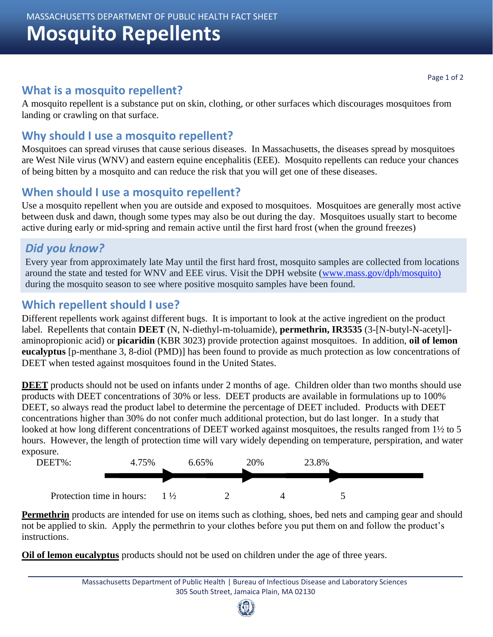# **Mosquito Repellents**

#### **What is a mosquito repellent?**

A mosquito repellent is a substance put on skin, clothing, or other surfaces which discourages mosquitoes from landing or crawling on that surface.

#### **Why should I use a mosquito repellent?**

Mosquitoes can spread viruses that cause serious diseases. In Massachusetts, the diseases spread by mosquitoes are West Nile virus (WNV) and eastern equine encephalitis (EEE). Mosquito repellents can reduce your chances of being bitten by a mosquito and can reduce the risk that you will get one of these diseases.

#### **When should I use a mosquito repellent?**

Use a mosquito repellent when you are outside and exposed to mosquitoes. Mosquitoes are generally most active between dusk and dawn, though some types may also be out during the day. Mosquitoes usually start to become active during early or mid-spring and remain active until the first hard frost (when the ground freezes)

### *Did you know?*

Every year from approximately late May until the first hard frost, mosquito samples are collected from locations around the state and tested for WNV and EEE virus. Visit the DPH website [\(www.mass.gov/dph/mosquito\)](http://www.mass.gov/dph/mosquito) during the mosquito season to see where positive mosquito samples have been found.

#### **Which repellent should I use?**

Different repellents work against different bugs. It is important to look at the active ingredient on the product label. Repellents that contain **DEET** (N, N-diethyl-m-toluamide), **permethrin, IR3535** (3-[N-butyl-N-acetyl] aminopropionic acid) or **picaridin** (KBR 3023) provide protection against mosquitoes. In addition, **oil of lemon eucalyptus** [p-menthane 3, 8-diol (PMD)] has been found to provide as much protection as low concentrations of DEET when tested against mosquitoes found in the United States.

**DEET** products should not be used on infants under 2 months of age. Children older than two months should use products with DEET concentrations of 30% or less. DEET products are available in formulations up to 100% DEET, so always read the product label to determine the percentage of DEET included. Products with DEET concentrations higher than 30% do not confer much additional protection, but do last longer. In a study that looked at how long different concentrations of DEET worked against mosquitoes, the results ranged from 1<sup>1</sup>/<sub>2</sub> to 5 hours. However, the length of protection time will vary widely depending on temperature, perspiration, and water exposure.



**Permethrin** products are intended for use on items such as clothing, shoes, bed nets and camping gear and should not be applied to skin. Apply the permethrin to your clothes before you put them on and follow the product's instructions.

**Oil of lemon eucalyptus** products should not be used on children under the age of three years.